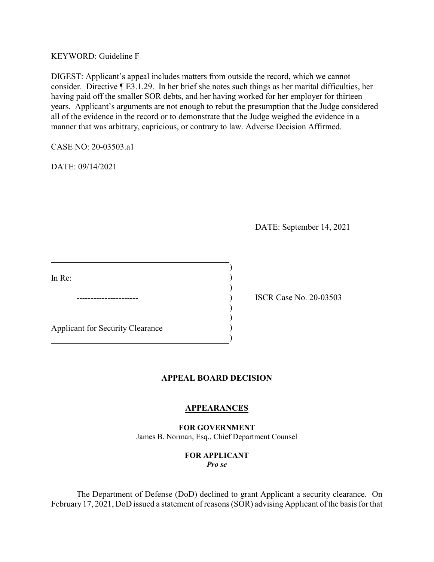### KEYWORD: Guideline F

DIGEST: Applicant's appeal includes matters from outside the record, which we cannot consider. Directive ¶ E3.1.29. In her brief she notes such things as her marital difficulties, her having paid off the smaller SOR debts, and her having worked for her employer for thirteen years. Applicant's arguments are not enough to rebut the presumption that the Judge considered all of the evidence in the record or to demonstrate that the Judge weighed the evidence in a manner that was arbitrary, capricious, or contrary to law. Adverse Decision Affirmed.

CASE NO: 20-03503.a1

DATE: 09/14/2021

DATE: September 14, 2021

In Re:

Applicant for Security Clearance )

ISCR Case No. 20-03503

# **APPEAL BOARD DECISION**

)

)

)

)

)

### **APPEARANCES**

**FOR GOVERNMENT**  James B. Norman, Esq., Chief Department Counsel

#### **FOR APPLICANT**

*Pro se* 

 The Department of Defense (DoD) declined to grant Applicant a security clearance. On February 17, 2021, DoD issued a statement of reasons (SOR) advising Applicant of the basis for that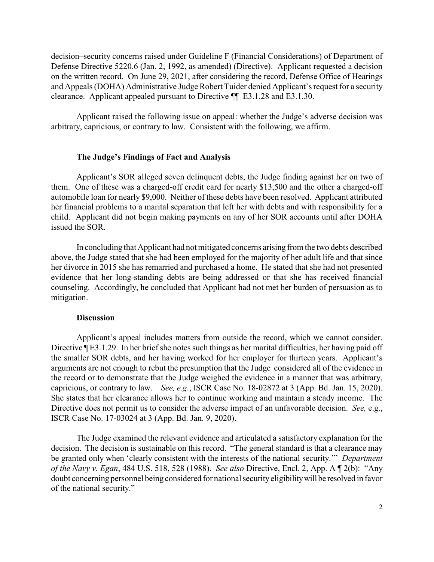decision–security concerns raised under Guideline F (Financial Considerations) of Department of Defense Directive 5220.6 (Jan. 2, 1992, as amended) (Directive). Applicant requested a decision on the written record. On June 29, 2021, after considering the record, Defense Office of Hearings and Appeals (DOHA) Administrative Judge Robert Tuider denied Applicant's request for a security clearance. Applicant appealed pursuant to Directive ¶¶ E3.1.28 and E3.1.30.

 Applicant raised the following issue on appeal: whether the Judge's adverse decision was arbitrary, capricious, or contrary to law. Consistent with the following, we affirm.

#### **The Judge's Findings of Fact and Analysis**

 Applicant's SOR alleged seven delinquent debts, the Judge finding against her on two of them. One of these was a charged-off credit card for nearly \$13,500 and the other a charged-off automobile loan for nearly \$9,000. Neither of these debts have been resolved. Applicant attributed child. Applicant did not begin making payments on any of her SOR accounts until after DOHA her financial problems to a marital separation that left her with debts and with responsibility for a issued the SOR.

 In concluding that Applicant had not mitigated concerns arising from the two debts described her divorce in 2015 she has remarried and purchased a home. He stated that she had not presented evidence that her long-standing debts are being addressed or that she has received financial above, the Judge stated that she had been employed for the majority of her adult life and that since counseling. Accordingly, he concluded that Applicant had not met her burden of persuasion as to mitigation.

#### **Discussion**

 Directive ¶ E3.1.29. In her brief she notes such things as her marital difficulties, her having paid off the smaller SOR debts, and her having worked for her employer for thirteen years. Applicant's arguments are not enough to rebut the presumption that the Judge considered all of the evidence in She states that her clearance allows her to continue working and maintain a steady income. The Directive does not permit us to consider the adverse impact of an unfavorable decision. *See,* e.g., Applicant's appeal includes matters from outside the record, which we cannot consider. the record or to demonstrate that the Judge weighed the evidence in a manner that was arbitrary, capricious, or contrary to law. *See, e.g.*, ISCR Case No. 18-02872 at 3 (App. Bd. Jan. 15, 2020). ISCR Case No. 17-03024 at 3 (App. Bd. Jan. 9, 2020).

 decision. The decision is sustainable on this record. "The general standard is that a clearance may be granted only when 'clearly consistent with the interests of the national security.'" *Department*  doubt concerning personnel being considered for national security eligibilitywill be resolved in favor The Judge examined the relevant evidence and articulated a satisfactory explanation for the *of the Navy v. Egan*, 484 U.S. 518, 528 (1988). *See also* Directive, Encl. 2, App. A ¶ 2(b): "Any of the national security."